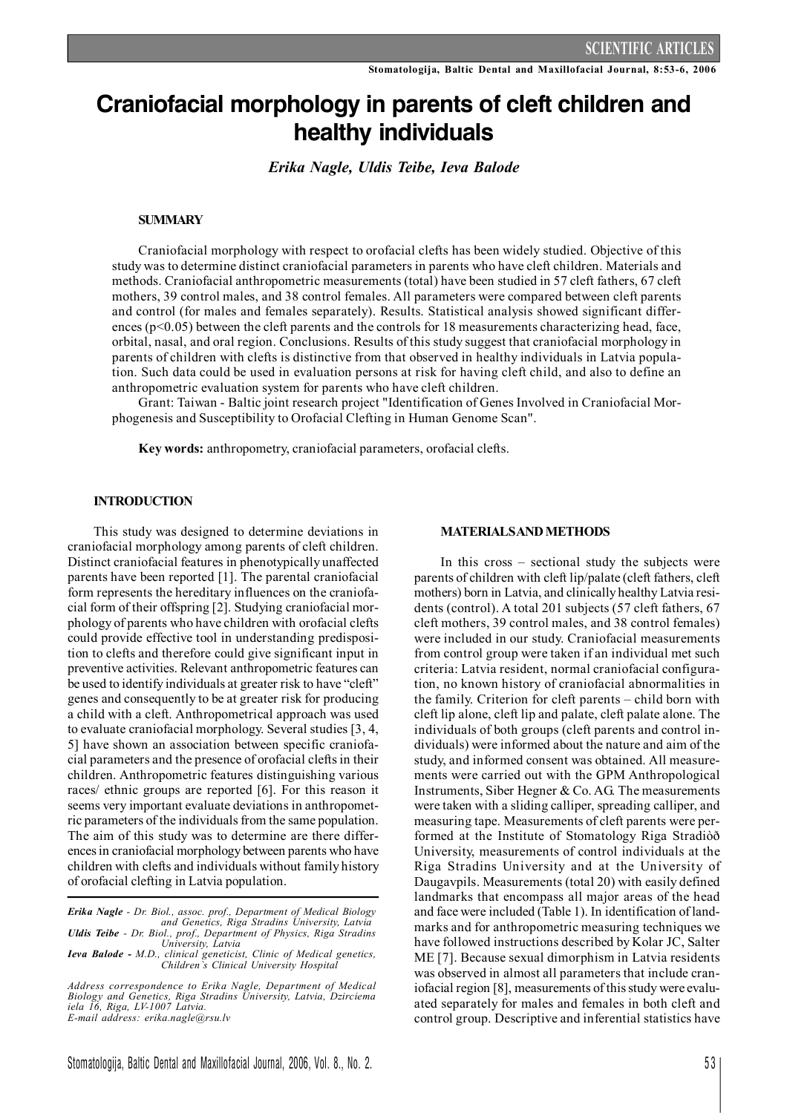# **Craniofacial morphology in parents of cleft children and healthy individuals**

*Erika Nagle, Uldis Teibe, Ieva Balode*

#### **SUMMARY**

Craniofacial morphology with respect to orofacial clefts has been widely studied. Objective of this study was to determine distinct craniofacial parameters in parents who have cleft children. Materials and methods. Craniofacial anthropometric measurements (total) have been studied in 57 cleft fathers, 67 cleft mothers, 39 control males, and 38 control females. All parameters were compared between cleft parents and control (for males and females separately). Results. Statistical analysis showed significant differences (p<0.05) between the cleft parents and the controls for 18 measurements characterizing head, face, orbital, nasal, and oral region. Conclusions. Results of this study suggest that craniofacial morphology in parents of children with clefts is distinctive from that observed in healthy individuals in Latvia population. Such data could be used in evaluation persons at risk for having cleft child, and also to define an anthropometric evaluation system for parents who have cleft children.

Grant: Taiwan - Baltic joint research project "Identification of Genes Involved in Craniofacial Morphogenesis and Susceptibility to Orofacial Clefting in Human Genome Scan".

**Key words:** anthropometry, craniofacial parameters, orofacial clefts.

### **INTRODUCTION**

This study was designed to determine deviations in craniofacial morphology among parents of cleft children. Distinct craniofacial features in phenotypically unaffected parents have been reported [1]. The parental craniofacial form represents the hereditary influences on the craniofacial form of their offspring [2]. Studying craniofacial morphology of parents who have children with orofacial clefts could provide effective tool in understanding predisposition to clefts and therefore could give significant input in preventive activities. Relevant anthropometric features can be used to identify individuals at greater risk to have "cleft" genes and consequently to be at greater risk for producing a child with a cleft. Anthropometrical approach was used to evaluate craniofacial morphology. Several studies [3, 4, 5] have shown an association between specific craniofacial parameters and the presence of orofacial cleftsin their children. Anthropometric features distinguishing various races/ ethnic groups are reported [6]. For this reason it seems very important evaluate deviations in anthropometric parameters of the individuals from the same population. The aim of this study was to determine are there differencesin craniofacial morphology between parents who have children with clefts and individuals without family history of orofacial clefting in Latvia population.

**Erika Nagle** - Dr. Biol., assoc. prof., Department of Medical Biology<br>and Genetics, Riga Stradins University, Latvia *Uldis Teibe - Dr. Biol., prof., Department of Physics, Riga Stradins University, Latvia Ieva Balode - M.D., clinical geneticist, Clinic of Medical genetics, Children`s Clinical University Hospital*

*Address correspondence to Erika Nagle, Department of Medical Biology and Genetics, Riga Stradins University, Latvia, Dzirciema iela 16, Riga, LV-1007 Latvia. E-mail address: erika.nagle@rsu.lv*

#### **MATERIALSANDMETHODS**

In this cross – sectional study the subjects were parents of children with cleft lip/palate (cleft fathers, cleft mothers) born in Latvia, and clinically healthy Latvia residents (control). A total 201 subjects (57 cleft fathers, 67 cleft mothers, 39 control males, and 38 control females) were included in our study. Craniofacial measurements from control group were taken if an individual met such criteria: Latvia resident, normal craniofacial configuration, no known history of craniofacial abnormalities in the family. Criterion for cleft parents – child born with cleft lip alone, cleft lip and palate, cleft palate alone. The individuals of both groups (cleft parents and control individuals) were informed about the nature and aim of the study, and informed consent was obtained. All measurements were carried out with the GPM Anthropological Instruments, Siber Hegner & Co. AG. The measurements were taken with a sliding calliper, spreading calliper, and measuring tape. Measurements of cleft parents were performed at the Institute of Stomatology Riga Stradiòð University, measurements of control individuals at the Riga Stradins University and at the University of Daugavpils. Measurements (total 20) with easily defined landmarks that encompass all major areas of the head and face were included (Table 1). In identification of landmarks and for anthropometric measuring techniques we have followed instructions described by Kolar JC, Salter ME [7]. Because sexual dimorphism in Latvia residents was observed in almost all parameters that include craniofacial region [8], measurements of this study were evaluated separately for males and females in both cleft and control group. Descriptive and inferential statistics have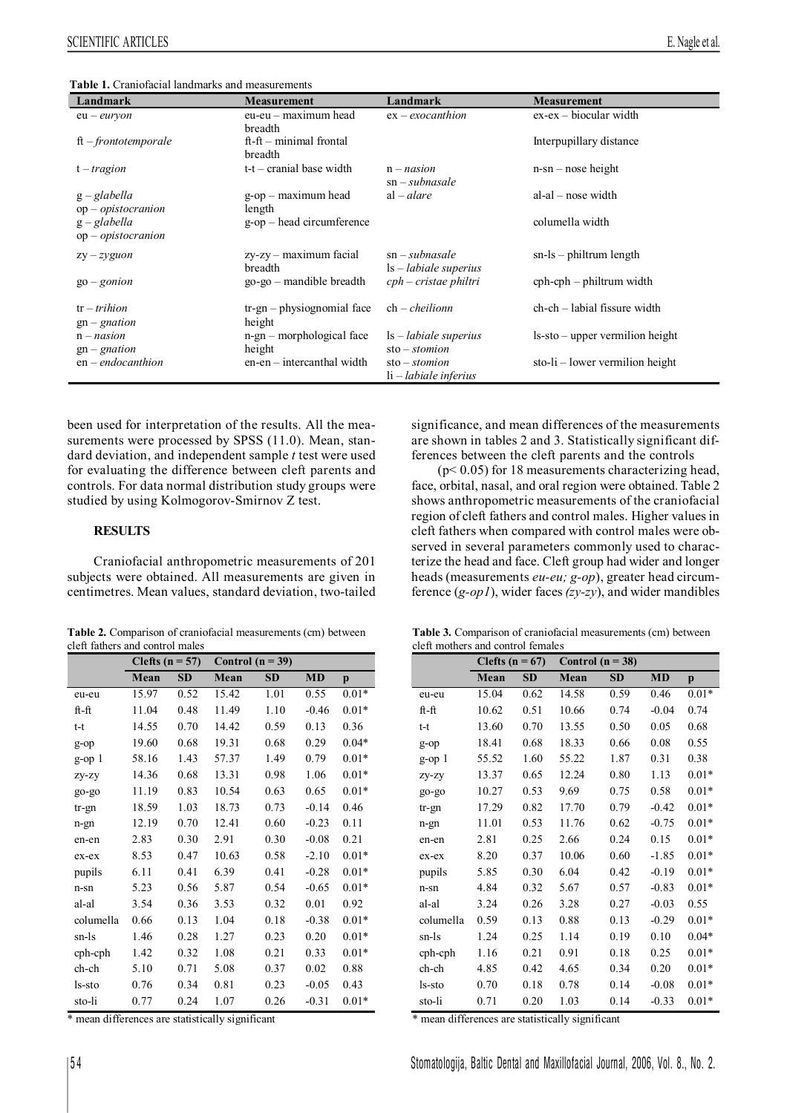| <b>Table 1.</b> Craniofacial landmarks and measurements |  |  |  |  |  |  |
|---------------------------------------------------------|--|--|--|--|--|--|
|---------------------------------------------------------|--|--|--|--|--|--|

| Landmark               | <b>Measurement</b>            | Landmark                           | <b>Measurement</b>                 |
|------------------------|-------------------------------|------------------------------------|------------------------------------|
| $eu$ – euryon          | eu-eu – maximum head          | $ex-exocanthion$                   | $ex-ex - biocular width$           |
|                        | breadth                       |                                    |                                    |
| $ft$ – frontotemporale | $ft$ - $ft$ – minimal frontal |                                    | Interpupillary distance            |
|                        | breadth                       |                                    |                                    |
| $t - tragion$          | t-t – cranial base width      | $n - nasion$                       | $n$ -sn – nose height              |
|                        |                               | $sn - subnasale$                   |                                    |
| $g$ – glabella         | $g$ -op – maximum head        | $al$ -alare                        | $al$ -al – nose width              |
| $op - opistocranion$   | length                        |                                    |                                    |
| $g$ – glabella         | $g$ -op – head circumference  |                                    | columella width                    |
| $op - opistocranion$   |                               |                                    |                                    |
| $zy - zyguon$          | $zy$ -zy – maximum facial     | $sn - subnasale$                   | $sn-ls$ – philtrum length          |
|                        | breadth                       | $ls - labiale superius$            |                                    |
| $go-gonion$            | go-go – mandible breadth      | $cph-cristae$ philtri              | $cph-cph$ – philtrum width         |
|                        |                               |                                    |                                    |
| $tr-trihion$           | tr-gn - physiognomial face    | $ch$ – <i>cheilionn</i>            | ch-ch – labial fissure width       |
| $gn-g$ <i>nation</i>   | height                        |                                    |                                    |
| $n - nasion$           | $n$ -gn – morphological face  | $\text{ls}-\text{labile superius}$ | $ls$ -sto – upper vermilion height |
| $gn-g$ <i>nation</i>   | height                        | $sto -$ stomion                    |                                    |
| $en - endocanthion$    | en-en – intercanthal width    | $sto -$ stomion                    | sto-li – lower vermilion height    |
|                        |                               | li – labiale inferius              |                                    |

been used for interpretation of the results. All the measurements were processed by SPSS (11.0). Mean, standard deviation, and independent sample *t* test were used for evaluating the difference between cleft parents and controls. For data normal distribution study groups were studied by using Kolmogorov-Smirnov Z test.

## **RESULTS**

Craniofacial anthropometric measurements of 201 subjects were obtained. All measurements are given in centimetres. Mean values, standard deviation, two-tailed

**Table 2.** Comparison of craniofacial measurements (cm) between cleft fathers and control males

|             | Clefts ( $n = 57$ ) |           | Control $(n = 39)$ |           |           |              |
|-------------|---------------------|-----------|--------------------|-----------|-----------|--------------|
|             | Mean                | <b>SD</b> | Mean               | <b>SD</b> | <b>MD</b> | $\mathbf{p}$ |
| eu-eu       | 15.97               | 0.52      | 15.42              | 1.01      | 0.55      | $0.01*$      |
| ft-ft       | 11.04               | 0.48      | 11.49              | 1.10      | $-0.46$   | $0.01*$      |
| $t-t$       | 14.55               | 0.70      | 14.42              | 0.59      | 0.13      | 0.36         |
| $g$ -op     | 19.60               | 0.68      | 19.31              | 0.68      | 0.29      | $0.04*$      |
| $g$ -op $1$ | 58.16               | 1.43      | 57.37              | 1.49      | 0.79      | $0.01*$      |
| zy-zy       | 14.36               | 0.68      | 13.31              | 0.98      | 1.06      | $0.01*$      |
| go-go       | 11.19               | 0.83      | 10.54              | 0.63      | 0.65      | $0.01*$      |
| $tr-gn$     | 18.59               | 1.03      | 18.73              | 0.73      | $-0.14$   | 0.46         |
| n-gn        | 12.19               | 0.70      | 12.41              | 0.60      | $-0.23$   | 0.11         |
| en-en       | 2.83                | 0.30      | 2.91               | 0.30      | $-0.08$   | 0.21         |
| $ex-ex$     | 8.53                | 0.47      | 10.63              | 0.58      | $-2.10$   | $0.01*$      |
| pupils      | 6.11                | 0.41      | 6.39               | 0.41      | $-0.28$   | $0.01*$      |
| n-sn        | 5.23                | 0.56      | 5.87               | 0.54      | $-0.65$   | $0.01*$      |
| al-al       | 3.54                | 0.36      | 3.53               | 0.32      | 0.01      | 0.92         |
| columella   | 0.66                | 0.13      | 1.04               | 0.18      | $-0.38$   | $0.01*$      |
| sn-ls       | 1.46                | 0.28      | 1.27               | 0.23      | 0.20      | $0.01*$      |
| cph-cph     | 1.42                | 0.32      | 1.08               | 0.21      | 0.33      | $0.01*$      |
| ch-ch       | 5.10                | 0.71      | 5.08               | 0.37      | 0.02      | 0.88         |
| ls-sto      | 0.76                | 0.34      | 0.81               | 0.23      | $-0.05$   | 0.43         |
| sto-li      | 0.77                | 0.24      | 1.07               | 0.26      | $-0.31$   | $0.01*$      |

\* mean differences are statistically significant

significance, and mean differences of the measurements are shown in tables 2 and 3. Statistically significant differences between the cleft parents and the controls

(p< 0.05) for 18 measurements characterizing head, face, orbital, nasal, and oral region were obtained. Table 2 shows anthropometric measurements of the craniofacial region of cleft fathers and control males. Higher values in cleft fathers when compared with control males were observed in several parameters commonly used to characterize the head and face. Cleft group had wider and longer heads (measurements *eu-eu; g-op*), greater head circumference (*g-op1*), wider faces *(zy-zy*), and wider mandibles

**Table 3.** Comparison of craniofacial measurements (cm) between cleft mothers and control females

|             | Clefts ( $n = 67$ ) |           | Control $(n = 38)$ |           |           |         |
|-------------|---------------------|-----------|--------------------|-----------|-----------|---------|
|             | Mean                | <b>SD</b> | Mean               | <b>SD</b> | <b>MD</b> | p       |
| eu-eu       | 15.04               | 0.62      | 14.58              | 0.59      | 0.46      | $0.01*$ |
| ft-ft       | 10.62               | 0.51      | 10.66              | 0.74      | $-0.04$   | 0.74    |
| $t-t$       | 13.60               | 0.70      | 13.55              | 0.50      | 0.05      | 0.68    |
| $g$ -op     | 18.41               | 0.68      | 18.33              | 0.66      | 0.08      | 0.55    |
| $g$ -op $1$ | 55.52               | 1.60      | 55.22              | 1.87      | 0.31      | 0.38    |
| ZY-ZY       | 13.37               | 0.65      | 12.24              | 0.80      | 1.13      | $0.01*$ |
| go-go       | 10.27               | 0.53      | 9.69               | 0.75      | 0.58      | $0.01*$ |
| tr-gn       | 17.29               | 0.82      | 17.70              | 0.79      | $-0.42$   | $0.01*$ |
| n-gn        | 11.01               | 0.53      | 11.76              | 0.62      | $-0.75$   | $0.01*$ |
| en-en       | 2.81                | 0.25      | 2.66               | 0.24      | 0.15      | $0.01*$ |
| $ex-ex$     | 8.20                | 0.37      | 10.06              | 0.60      | $-1.85$   | $0.01*$ |
| pupils      | 5.85                | 0.30      | 6.04               | 0.42      | $-0.19$   | $0.01*$ |
| n-sn        | 4.84                | 0.32      | 5.67               | 0.57      | $-0.83$   | $0.01*$ |
| al-al       | 3.24                | 0.26      | 3.28               | 0.27      | $-0.03$   | 0.55    |
| columella   | 0.59                | 0.13      | 0.88               | 0.13      | $-0.29$   | $0.01*$ |
| sn-ls       | 1.24                | 0.25      | 1.14               | 0.19      | 0.10      | $0.04*$ |
| $cph-cph$   | 1.16                | 0.21      | 0.91               | 0.18      | 0.25      | $0.01*$ |
| ch-ch       | 4.85                | 0.42      | 4.65               | 0.34      | 0.20      | $0.01*$ |
| ls-sto      | 0.70                | 0.18      | 0.78               | 0.14      | $-0.08$   | $0.01*$ |
| sto-li      | 0.71                | 0.20      | 1.03               | 0.14      | $-0.33$   | $0.01*$ |

\* mean differences are statistically significant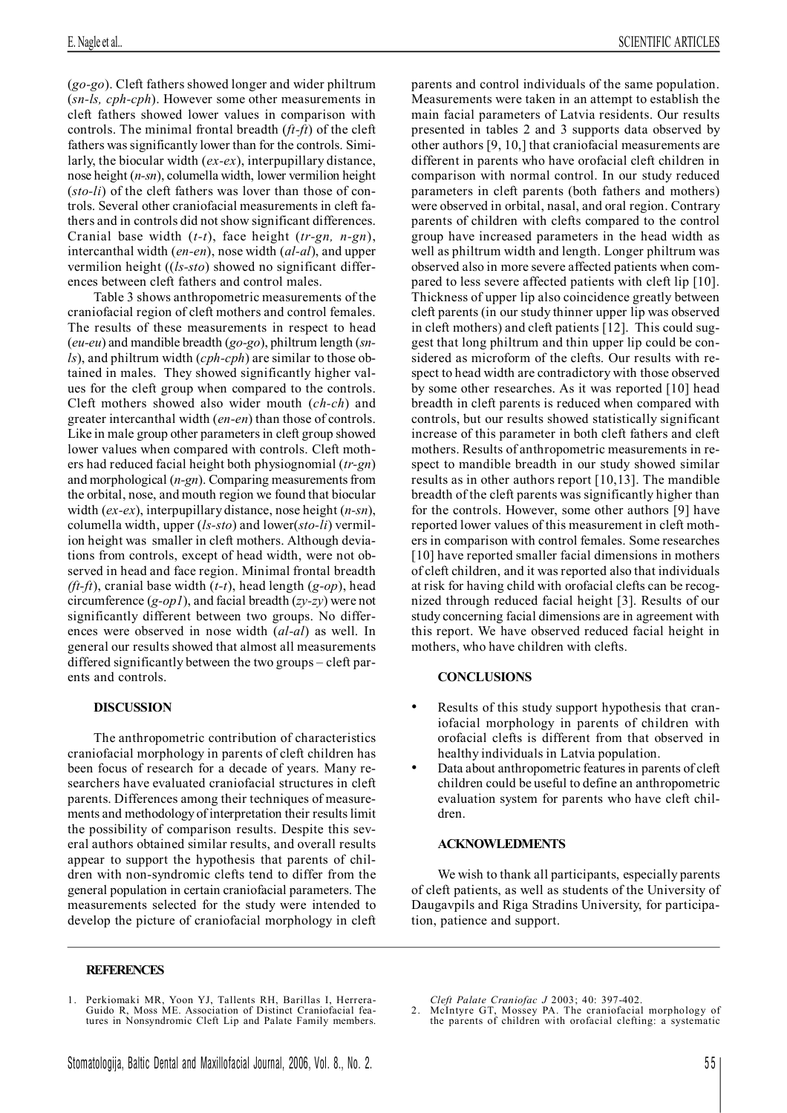(*go-go*). Cleft fathers showed longer and wider philtrum (*sn-ls, cph-cph*). However some other measurements in cleft fathers showed lower values in comparison with controls. The minimal frontal breadth (*ft-ft*) of the cleft fathers was significantly lower than for the controls. Similarly, the biocular width (*ex-ex*), interpupillary distance, nose height (*n-sn*), columella width, lower vermilion height (*sto-li*) of the cleft fathers was lover than those of controls. Several other craniofacial measurements in cleft fathers and in controls did not show significant differences. Cranial base width (*t-t*), face height (*tr-gn, n-gn*), intercanthal width (*en-en*), nose width (*al-al*), and upper vermilion height ((*ls-sto*) showed no significant differences between cleft fathers and control males.

Table 3 shows anthropometric measurements of the craniofacial region of cleft mothers and control females. The results of these measurements in respect to head (*eu-eu*) and mandible breadth (*go-go*), philtrum length (*snls*), and philtrum width (*cph-cph*) are similar to those obtained in males. They showed significantly higher values for the cleft group when compared to the controls. Cleft mothers showed also wider mouth (*ch-ch*) and greater intercanthal width (*en-en*) than those of controls. Like in male group other parameters in cleft group showed lower values when compared with controls. Cleft mothers had reduced facial height both physiognomial (*tr-gn*) and morphological (*n-gn*). Comparing measurements from the orbital, nose, and mouth region we found that biocular width (*ex-ex*), interpupillary distance, nose height (*n-sn*), columella width, upper (*ls-sto*) and lower(*sto-li*) vermilion height was smaller in cleft mothers. Although deviations from controls, except of head width, were not observed in head and face region. Minimal frontal breadth *(ft-ft*), cranial base width (*t-t*), head length (*g-op*), head circumference (*g-op1*), and facial breadth (*zy-zy*) were not significantly different between two groups. No differences were observed in nose width (*al-al*) as well. In general our results showed that almost all measurements differed significantly between the two groups – cleft parents and controls.

## **DISCUSSION**

The anthropometric contribution of characteristics craniofacial morphology in parents of cleft children has been focus of research for a decade of years. Many researchers have evaluated craniofacial structures in cleft parents. Differences among their techniques of measurements and methodology of interpretation their resultslimit the possibility of comparison results. Despite this several authors obtained similar results, and overall results appear to support the hypothesis that parents of children with non-syndromic clefts tend to differ from the general population in certain craniofacial parameters. The measurements selected for the study were intended to develop the picture of craniofacial morphology in cleft

parents and control individuals of the same population. Measurements were taken in an attempt to establish the main facial parameters of Latvia residents. Our results presented in tables 2 and 3 supports data observed by other authors [9, 10,] that craniofacial measurements are different in parents who have orofacial cleft children in comparison with normal control. In our study reduced parameters in cleft parents (both fathers and mothers) were observed in orbital, nasal, and oral region. Contrary parents of children with clefts compared to the control group have increased parameters in the head width as well as philtrum width and length. Longer philtrum was observed also in more severe affected patients when compared to less severe affected patients with cleft lip [10]. Thickness of upper lip also coincidence greatly between cleft parents (in our study thinner upper lip was observed in cleft mothers) and cleft patients [12]. This could suggest that long philtrum and thin upper lip could be considered as microform of the clefts. Our results with respect to head width are contradictory with those observed by some other researches. As it was reported [10] head breadth in cleft parents is reduced when compared with controls, but our results showed statistically significant increase of this parameter in both cleft fathers and cleft mothers. Results of anthropometric measurements in respect to mandible breadth in our study showed similar results as in other authors report [10,13]. The mandible breadth of the cleft parents was significantly higher than for the controls. However, some other authors [9] have reported lower values of this measurement in cleft mothers in comparison with control females. Some researches [10] have reported smaller facial dimensions in mothers of cleft children, and it was reported also that individuals at risk for having child with orofacial clefts can be recognized through reduced facial height [3]. Results of our study concerning facial dimensions are in agreement with this report. We have observed reduced facial height in mothers, who have children with clefts.

## **CONCLUSIONS**

- Results of this study support hypothesis that craniofacial morphology in parents of children with orofacial clefts is different from that observed in healthy individuals in Latvia population.
- Data about anthropometric features in parents of cleft children could be useful to define an anthropometric evaluation system for parents who have cleft children.

# **ACKNOWLEDMENTS**

We wish to thank all participants, especially parents of cleft patients, as well as students of the University of Daugavpils and Riga Stradins University, for participation, patience and support.

1. Perkiomaki MR, Yoon YJ, Tallents RH, Barillas I, Herrera-Guido R, Moss ME. Association of Distinct Craniofacial features in Nonsyndromic Cleft Lip and Palate Family members.

*Cleft Palate Craniofac J* 2003; 40: 397-402. 2. McIntyre GT, Mossey PA. The craniofacial morphology of the parents of children with orofacial clefting: a systematic